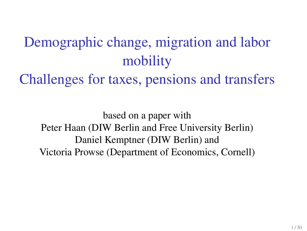# Demographic change, migration and labor mobility

Challenges for taxes, pensions and transfers

based on a paper with Peter Haan (DIW Berlin and Free University Berlin) Daniel Kemptner (DIW Berlin) and Victoria Prowse (Department of Economics, Cornell)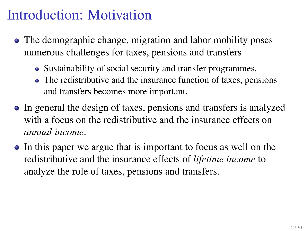### Introduction: Motivation

- The demographic change, migration and labor mobility poses numerous challenges for taxes, pensions and transfers
	- Sustainability of social security and transfer programmes.
	- The redistributive and the insurance function of taxes, pensions and transfers becomes more important.
- In general the design of taxes, pensions and transfers is analyzed with a focus on the redistributive and the insurance effects on *annual income*.
- In this paper we argue that is important to focus as well on the redistributive and the insurance effects of *lifetime income* to analyze the role of taxes, pensions and transfers.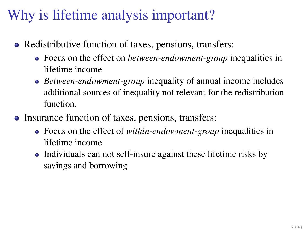## Why is lifetime analysis important?

- Redistributive function of taxes, pensions, transfers:
	- Focus on the effect on *between-endowment-group* inequalities in lifetime income
	- *Between-endowment-group* inequality of annual income includes additional sources of inequality not relevant for the redistribution function.
- Insurance function of taxes, pensions, transfers:
	- Focus on the effect of *within-endowment-group* inequalities in lifetime income
	- Individuals can not self-insure against these lifetime risks by savings and borrowing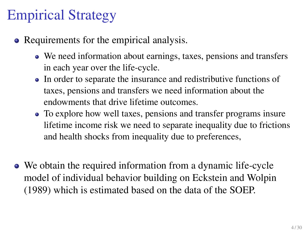## Empirical Strategy

- Requirements for the empirical analysis.
	- We need information about earnings, taxes, pensions and transfers in each year over the life-cycle.
	- In order to separate the insurance and redistributive functions of taxes, pensions and transfers we need information about the endowments that drive lifetime outcomes.
	- To explore how well taxes, pensions and transfer programs insure lifetime income risk we need to separate inequality due to frictions and health shocks from inequality due to preferences,
- We obtain the required information from a dynamic life-cycle model of individual behavior building on Eckstein and Wolpin (1989) which is estimated based on the data of the SOEP.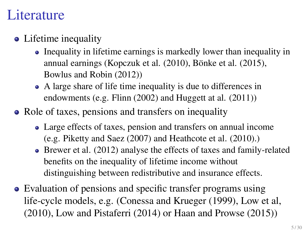#### **L**iterature

- Lifetime inequality
	- Inequality in lifetime earnings is markedly lower than inequality in annual earnings (Kopczuk et al.  $(2010)$ , Bönke et al.  $(2015)$ , Bowlus and Robin (2012))
	- A large share of life time inequality is due to differences in endowments (e.g. Flinn (2002) and Huggett at al. (2011))
- Role of taxes, pensions and transfers on inequality
	- Large effects of taxes, pension and transfers on annual income (e.g. Piketty and Saez (2007) and Heathcote et al. (2010).)
	- Brewer et al. (2012) analyse the effects of taxes and family-related benefits on the inequality of lifetime income without distinguishing between redistributive and insurance effects.
- Evaluation of pensions and specific transfer programs using life-cycle models, e.g. (Conessa and Krueger (1999), Low et al, (2010), Low and Pistaferri (2014) or Haan and Prowse (2015))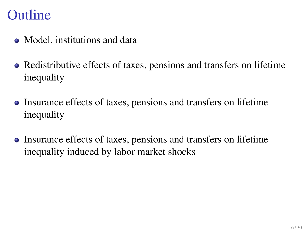#### **Outline**

- Model, institutions and data
- Redistributive effects of taxes, pensions and transfers on lifetime inequality
- Insurance effects of taxes, pensions and transfers on lifetime inequality
- Insurance effects of taxes, pensions and transfers on lifetime inequality induced by labor market shocks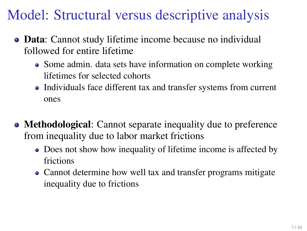## Model: Structural versus descriptive analysis

- Data: Cannot study lifetime income because no individual followed for entire lifetime
	- Some admin. data sets have information on complete working lifetimes for selected cohorts
	- Individuals face different tax and transfer systems from current ones
- Methodological: Cannot separate inequality due to preference from inequality due to labor market frictions
	- Does not show how inequality of lifetime income is affected by frictions
	- Cannot determine how well tax and transfer programs mitigate inequality due to frictions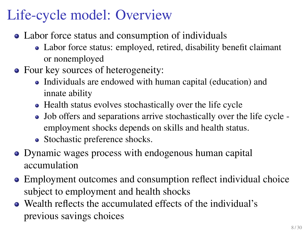## Life-cycle model: Overview

- Labor force status and consumption of individuals
	- Labor force status: employed, retired, disability benefit claimant or nonemployed
- Four key sources of heterogeneity:
	- Individuals are endowed with human capital (education) and innate ability
	- Health status evolves stochastically over the life cycle
	- Job offers and separations arrive stochastically over the life cycle employment shocks depends on skills and health status.
	- Stochastic preference shocks.
- Dynamic wages process with endogenous human capital accumulation
- Employment outcomes and consumption reflect individual choice subject to employment and health shocks
- Wealth reflects the accumulated effects of the individual's previous savings choices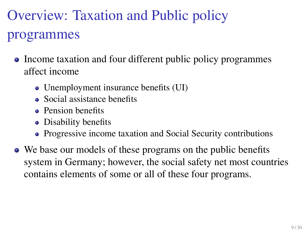# Overview: Taxation and Public policy programmes

- Income taxation and four different public policy programmes affect income
	- Unemployment insurance benefits (UI)
	- Social assistance benefits
	- Pension benefits
	- Disability benefits
	- Progressive income taxation and Social Security contributions
- We base our models of these programs on the public benefits system in Germany; however, the social safety net most countries contains elements of some or all of these four programs.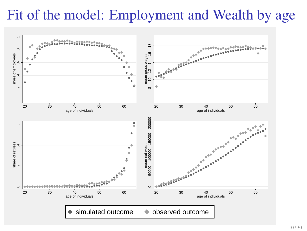### Fit of the model: Employment and Wealth by age

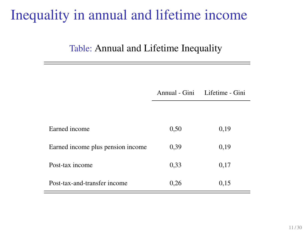### Inequality in annual and lifetime income

#### Table: Annual and Lifetime Inequality

| Post-tax income              | 0.33 | 0,17 |
|------------------------------|------|------|
| Post-tax-and-transfer income | 0.26 | 0.15 |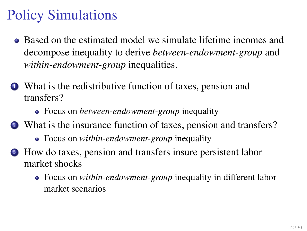## Policy Simulations

- Based on the estimated model we simulate lifetime incomes and decompose inequality to derive *between-endowment-group* and *within-endowment-group* inequalities.
- <sup>1</sup> What is the redistributive function of taxes, pension and transfers?
	- Focus on *between-endowment-group* inequality
- <sup>2</sup> What is the insurance function of taxes, pension and transfers?
	- Focus on *within-endowment-group* inequality
- <sup>3</sup> How do taxes, pension and transfers insure persistent labor market shocks
	- Focus on *within-endowment-group* inequality in different labor market scenarios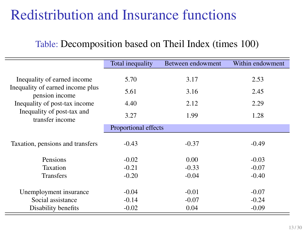## Redistribution and Insurance functions

#### Table: Decomposition based on Theil Index (times 100)

|                                                    | Total inequality     | Between endowment  | Within endowment   |
|----------------------------------------------------|----------------------|--------------------|--------------------|
| Inequality of earned income                        | 5.70                 | 3.17               | 2.53               |
| Inequality of earned income plus<br>pension income | 5.61                 | 3.16               | 2.45               |
| Inequality of post-tax income                      | 4.40                 | 2.12               | 2.29               |
| Inequality of post-tax and<br>transfer income      | 3.27                 | 1.99               | 1.28               |
|                                                    | Proportional effects |                    |                    |
| Taxation, pensions and transfers                   | $-0.43$              | $-0.37$            | $-0.49$            |
| Pensions                                           | $-0.02$              | 0.00               | $-0.03$            |
| Taxation                                           | $-0.21$              | $-0.33$            | $-0.07$            |
| <b>Transfers</b>                                   | $-0.20$              | $-0.04$            | $-0.40$            |
| Unemployment insurance<br>Social assistance        | $-0.04$<br>$-0.14$   | $-0.01$<br>$-0.07$ | $-0.07$<br>$-0.24$ |
| Disability benefits                                | $-0.02$              | 0.04               | $-0.09$            |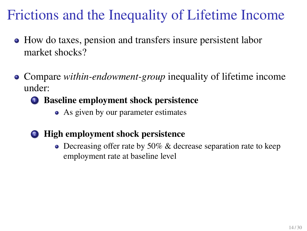## Frictions and the Inequality of Lifetime Income

- How do taxes, pension and transfers insure persistent labor market shocks?
- Compare *within-endowment-group* inequality of lifetime income under:
	- <sup>1</sup> Baseline employment shock persistence
		- As given by our parameter estimates
	- <sup>2</sup> High employment shock persistence
		- Decreasing offer rate by 50% & decrease separation rate to keep employment rate at baseline level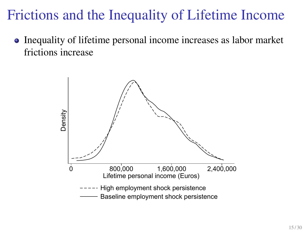### Frictions and the Inequality of Lifetime Income

• Inequality of lifetime personal income increases as labor market frictions increase

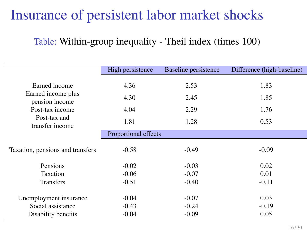### Insurance of persistent labor market shocks

#### Table: Within-group inequality - Theil index (times 100)

|                                                                                                             | High persistence             | Baseline persistence         | Difference (high-baseline)   |
|-------------------------------------------------------------------------------------------------------------|------------------------------|------------------------------|------------------------------|
| Earned income<br>Earned income plus<br>pension income<br>Post-tax income<br>Post-tax and<br>transfer income | 4.36<br>4.30<br>4.04<br>1.81 | 2.53<br>2.45<br>2.29<br>1.28 | 1.83<br>1.85<br>1.76<br>0.53 |
|                                                                                                             | Proportional effects         |                              |                              |
| Taxation, pensions and transfers                                                                            | $-0.58$                      | $-0.49$                      | $-0.09$                      |
| Pensions                                                                                                    | $-0.02$                      | $-0.03$                      | 0.02                         |
| Taxation                                                                                                    | $-0.06$                      | $-0.07$                      | 0.01                         |
| <b>Transfers</b>                                                                                            | $-0.51$                      | $-0.40$                      | $-0.11$                      |
| Unemployment insurance<br>Social assistance                                                                 | $-0.04$<br>$-0.43$           | $-0.07$<br>$-0.24$           | 0.03<br>$-0.19$              |
| Disability benefits                                                                                         | $-0.04$                      | $-0.09$                      | 0.05                         |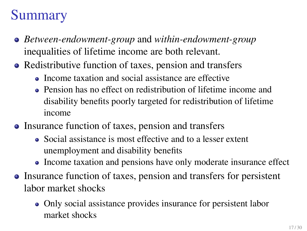## Summary

- *Between-endowment-group* and *within-endowment-group* inequalities of lifetime income are both relevant.
- Redistributive function of taxes, pension and transfers
	- Income taxation and social assistance are effective
	- Pension has no effect on redistribution of lifetime income and disability benefits poorly targeted for redistribution of lifetime income
- Insurance function of taxes, pension and transfers
	- Social assistance is most effective and to a lesser extent unemployment and disability benefits
	- Income taxation and pensions have only moderate insurance effect
- Insurance function of taxes, pension and transfers for persistent labor market shocks
	- Only social assistance provides insurance for persistent labor market shocks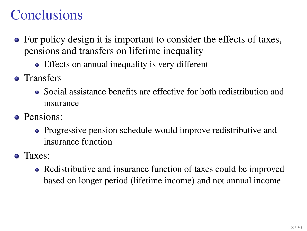## **Conclusions**

- For policy design it is important to consider the effects of taxes, pensions and transfers on lifetime inequality
	- Effects on annual inequality is very different
- Transfers
	- Social assistance benefits are effective for both redistribution and insurance
- Pensions:
	- Progressive pension schedule would improve redistributive and insurance function
- Taxes:
	- Redistributive and insurance function of taxes could be improved based on longer period (lifetime income) and not annual income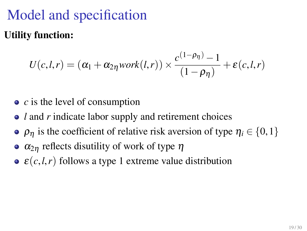## Model and specification Utility function:

$$
U(c,l,r) = (\alpha_1 + \alpha_{2\eta} \text{work}(l,r)) \times \frac{c^{(1-\rho_{\eta})}-1}{(1-\rho_{\eta})} + \varepsilon(c,l,r)
$$

- *c* is the level of consumption
- *l* and *r* indicate labor supply and retirement choices
- $\rho_n$  is the coefficient of relative risk aversion of type  $\eta_i \in \{0, 1\}$
- $\alpha_{2n}$  reflects disutility of work of type  $\eta$
- $\epsilon(c, l, r)$  follows a type 1 extreme value distribution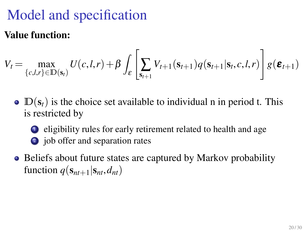## Model and specification

#### Value function:

$$
V_t = \max_{\{c,l,r\} \in \mathbb{D}(\mathbf{s}_t)} U(c,l,r) + \beta \int_{\mathcal{E}} \left[ \sum_{\mathbf{s}_{t+1}} V_{t+1}(\mathbf{s}_{t+1}) q(\mathbf{s}_{t+1}|\mathbf{s}_t, c, l, r) \right] g(\boldsymbol{\varepsilon}_{t+1})
$$

- $\bullet$   $\mathbb{D}(s_t)$  is the choice set available to individual n in period t. This is restricted by
	- <sup>1</sup> eligibility rules for early retirement related to health and age <sup>2</sup> job offer and separation rates
- Beliefs about future states are captured by Markov probability function  $q(\mathbf{s}_{nt+1}|\mathbf{s}_{nt}, d_{nt})$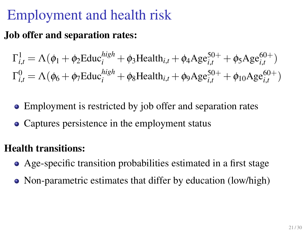## Employment and health risk

#### Job offer and separation rates:

$$
\Gamma_{i,t}^{1} = \Lambda(\phi_1 + \phi_2 \text{Educ}_{i}^{high} + \phi_3 \text{Health}_{i,t} + \phi_4 \text{Age}_{i,t}^{50+} + \phi_5 \text{Age}_{i,t}^{60+})
$$
  

$$
\Gamma_{i,t}^{0} = \Lambda(\phi_6 + \phi_7 \text{Educ}_{i}^{high} + \phi_8 \text{Health}_{i,t} + \phi_9 \text{Age}_{i,t}^{50+} + \phi_{10} \text{Age}_{i,t}^{60+})
$$

- Employment is restricted by job offer and separation rates
- Captures persistence in the employment status

#### Health transitions:

- Age-specific transition probabilities estimated in a first stage
- Non-parametric estimates that differ by education (low/high)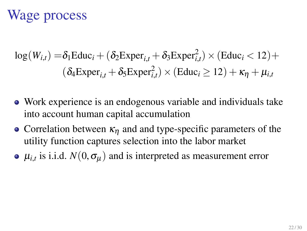## Wage process

$$
log(W_{i,t}) = \delta_1 \text{Educ}_i + (\delta_2 \text{Exper}_{i,t} + \delta_3 \text{Exper}_{i,t}^2) \times (\text{Educ}_i < 12) +
$$
  

$$
(\delta_4 \text{Exper}_{i,t} + \delta_5 \text{Exper}_{i,t}^2) \times (\text{Educ}_i \ge 12) + \kappa_{\eta} + \mu_{i,t}
$$

- Work experience is an endogenous variable and individuals take into account human capital accumulation
- Correlation between  $\kappa_n$  and and type-specific parameters of the utility function captures selection into the labor market
- $\mu_{i,t}$  is i.i.d.  $N(0,\sigma_\mu)$  and is interpreted as measurement error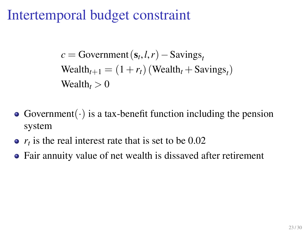#### Intertemporal budget constraint

 $c = \text{Government}(\mathbf{s}_t, l, r) - \text{Savings}_t$  $\text{Weak}_{t+1} = (1 + r_t)(\text{Weak}_{t} + \text{Savings}_{t})$ Wealth $t > 0$ 

- Government( $\cdot$ ) is a tax-benefit function including the pension system
- $r_t$  is the real interest rate that is set to be  $0.02$
- Fair annuity value of net wealth is dissaved after retirement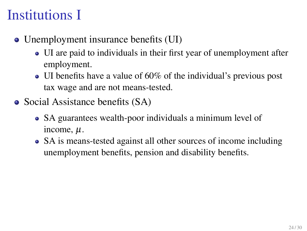## Institutions I

- Unemployment insurance benefits (UI)
	- UI are paid to individuals in their first year of unemployment after employment.
	- UI benefits have a value of 60% of the individual's previous post tax wage and are not means-tested.
- Social Assistance benefits (SA)
	- SA guarantees wealth-poor individuals a minimum level of income,  $\mu$ .
	- SA is means-tested against all other sources of income including unemployment benefits, pension and disability benefits.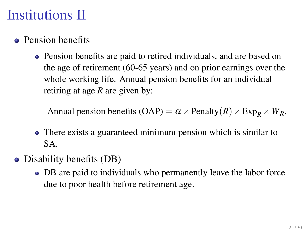## Institutions II

- Pension benefits
	- Pension benefits are paid to retired individuals, and are based on the age of retirement (60-65 years) and on prior earnings over the whole working life. Annual pension benefits for an individual retiring at age *R* are given by:

Annual pension benefits (OAP) =  $\alpha \times$  Penalty (R)  $\times$  Exp<sub>*p*</sub>  $\times \overline{W}_R$ ,

- There exists a guaranteed minimum pension which is similar to SA.
- Disability benefits (DB)
	- DB are paid to individuals who permanently leave the labor force due to poor health before retirement age.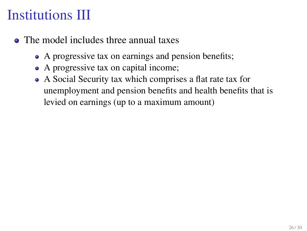## Institutions III

- The model includes three annual taxes
	- A progressive tax on earnings and pension benefits;
	- A progressive tax on capital income;
	- A Social Security tax which comprises a flat rate tax for unemployment and pension benefits and health benefits that is levied on earnings (up to a maximum amount)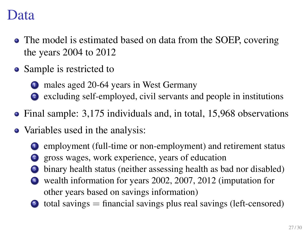#### Data

- The model is estimated based on data from the SOEP, covering the years 2004 to 2012
- Sample is restricted to
	- <sup>1</sup> males aged 20-64 years in West Germany
	- <sup>2</sup> excluding self-employed, civil servants and people in institutions
- Final sample: 3,175 individuals and, in total, 15,968 observations
- Variables used in the analysis:
	- <sup>1</sup> employment (full-time or non-employment) and retirement status
	- <sup>2</sup> gross wages, work experience, years of education
	- binary health status (neither assessing health as bad nor disabled)
	- wealth information for years 2002, 2007, 2012 (imputation for other years based on savings information)
	- $\bullet$  total savings  $=$  financial savings plus real savings (left-censored)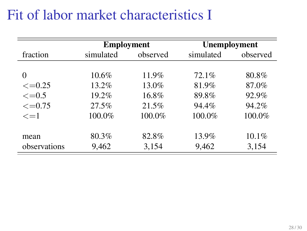### Fit of labor market characteristics I

|                  | <b>Employment</b> |          | <b>Unemployment</b> |          |
|------------------|-------------------|----------|---------------------|----------|
| fraction         | simulated         | observed | simulated           | observed |
|                  |                   |          |                     |          |
| 0                | $10.6\%$          | 11.9%    | 72.1%               | 80.8%    |
| $\leq$ =0.25     | $13.2\%$          | $13.0\%$ | 81.9%               | 87.0%    |
| $\epsilon = 0.5$ | 19.2%             | 16.8%    | 89.8%               | 92.9%    |
| $\leq$ =0.75     | 27.5%             | 21.5%    | 94.4%               | 94.2%    |
| $\leq$ =1        | 100.0%            | 100.0%   | 100.0%              | 100.0%   |
|                  |                   |          |                     |          |
| mean             | 80.3%             | 82.8%    | 13.9%               | $10.1\%$ |
| observations     | 9,462             | 3,154    | 9,462               | 3,154    |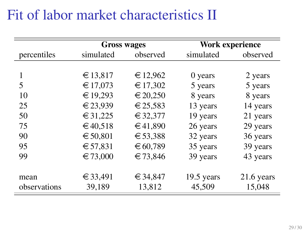### Fit of labor market characteristics II

|              | <b>Gross wages</b> |          | Work experience |              |
|--------------|--------------------|----------|-----------------|--------------|
| percentiles  | simulated          | observed | simulated       | observed     |
|              |                    |          |                 |              |
| 1            | € 13,817           | € 12,962 | 0 years         | 2 years      |
| 5            | € 17,073           | € 17,302 | 5 years         | 5 years      |
| 10           | € 19,293           | € 20,250 | 8 years         | 8 years      |
| 25           | € 23,939           | € 25,583 | 13 years        | 14 years     |
| 50           | € 31,225           | € 32,377 | 19 years        | 21 years     |
| 75           | €40,518            | €41,890  | 26 years        | 29 years     |
| 90           | € 50,801           | € 53,388 | 32 years        | 36 years     |
| 95           | € 57,831           | € 60,789 | 35 years        | 39 years     |
| 99           | € 73,000           | € 73,846 | 39 years        | 43 years     |
|              |                    |          |                 |              |
| mean         | € 33,491           | €34,847  | $19.5$ years    | $21.6$ years |
| observations | 39,189             | 13,812   | 45,509          | 15,048       |